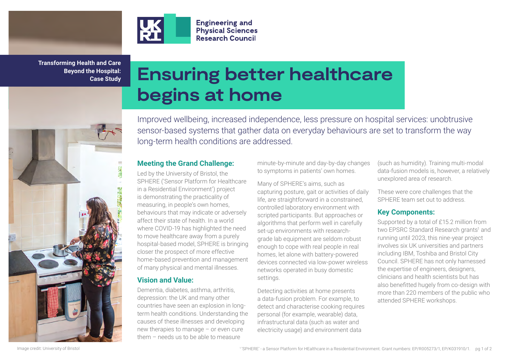

**Transforming Health and Care Beyond the Hospital: Case Study**

医成

# **Ensuring better healthcare begins at home**

**Engineering and Physical Sciences Research Council** 

Improved wellbeing, increased independence, less pressure on hospital services: unobtrusive sensor-based systems that gather data on everyday behaviours are set to transform the way long-term health conditions are addressed.

## **Meeting the Grand Challenge:**

Led by the University of Bristol, the SPHERE ('Sensor Platform for Healthcare in a Residential Environment') project is demonstrating the practicality of measuring, in people's own homes, behaviours that may indicate or adversely affect their state of health. In a world where COVID-19 has highlighted the need to move healthcare away from a purely hospital-based model, SPHERE is bringing closer the prospect of more effective home-based prevention and management of many physical and mental illnesses.

# **Vision and Value:**

Dementia, diabetes, asthma, arthritis, depression: the UK and many other countries have seen an explosion in longterm health conditions. Understanding the causes of these illnesses and developing new therapies to manage – or even cure them – needs us to be able to measure

minute-by-minute and day-by-day changes to symptoms in patients' own homes.

Many of SPHERE's aims, such as capturing posture, gait or activities of daily life, are straightforward in a constrained, controlled laboratory environment with scripted participants. But approaches or algorithms that perform well in carefully set-up environments with researchgrade lab equipment are seldom robust enough to cope with real people in real homes, let alone with battery-powered devices connected via low-power wireless networks operated in busy domestic settings.

Detecting activities at home presents a data-fusion problem. For example, to detect and characterise cooking requires personal (for example, wearable) data, infrastructural data (such as water and electricity usage) and environment data

(such as humidity). Training multi-modal data-fusion models is, however, a relatively unexplored area of research.

These were core challenges that the SPHERE team set out to address.

# **Key Components:**

Supported by a total of £15.2 million from two EPSRC Standard Research grants<sup>1</sup> and running until 2023, this nine-year project involves six UK universities and partners including IBM, Toshiba and Bristol City Council. SPHERE has not only harnessed the expertise of engineers, designers, clinicians and health scientists but has also benefitted hugely from co-design with more than 220 members of the public who attended SPHERE workshops.